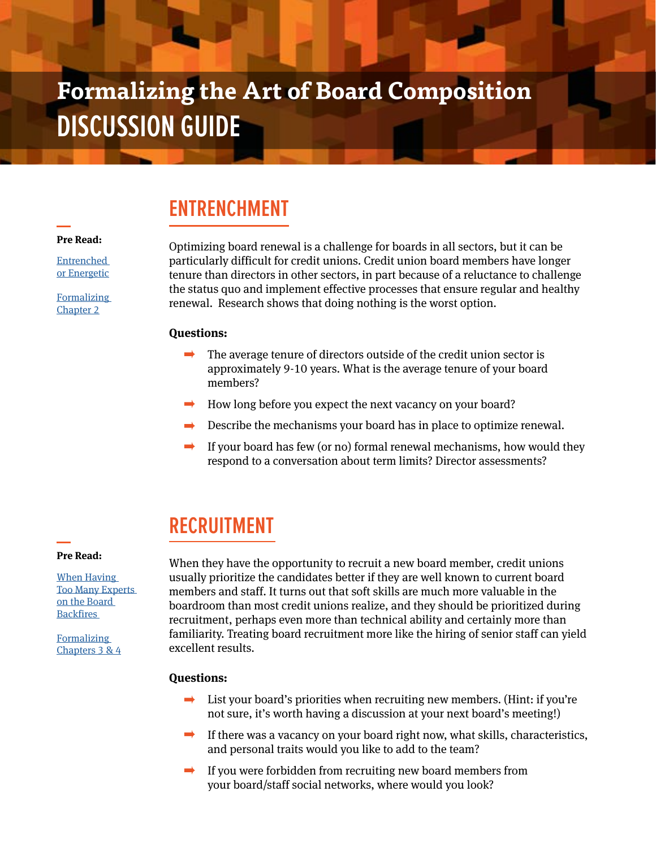# **Formalizing the Art of Board Composition DISCUSSION GUIDE**

# **ENTRENCHMENT**

#### **Pre Read:**

**Entrenched** [or Energetic](https://filene.org/learn-something/reports/entrenched-or-energetic-improving-credit-union-board-renewal)

[Formalizing](https://filene.org/learn-something/reports/formalizing-the-art-of-board-composition)  [Chapter 2](https://filene.org/learn-something/reports/formalizing-the-art-of-board-composition)

Optimizing board renewal is a challenge for boards in all sectors, but it can be particularly difficult for credit unions. Credit union board members have longer tenure than directors in other sectors, in part because of a reluctance to challenge the status quo and implement effective processes that ensure regular and healthy renewal. Research shows that doing nothing is the worst option.

#### **Questions:**

- The average tenure of directors outside of the credit union sector is approximately 9-10 years. What is the average tenure of your board members?
- How long before you expect the next vacancy on your board?
- Describe the mechanisms your board has in place to optimize renewal.  $\rightarrow$
- If your board has few (or no) formal renewal mechanisms, how would they  $\rightarrow$ respond to a conversation about term limits? Director assessments?

# **RECRUITMENT**

#### **Pre Read:**

[When Having](https://hbr.org/2016/08/when-having-too-many-experts-on-the-board-backfires)  [Too Many Experts](https://hbr.org/2016/08/when-having-too-many-experts-on-the-board-backfires)  [on the Board](https://hbr.org/2016/08/when-having-too-many-experts-on-the-board-backfires)  **Backfires** 

**Formalizing** [Chapters 3 & 4](https://filene.org/learn-something/reports/formalizing-the-art-of-board-composition)

When they have the opportunity to recruit a new board member, credit unions usually prioritize the candidates better if they are well known to current board members and staff. It turns out that soft skills are much more valuable in the boardroom than most credit unions realize, and they should be prioritized during recruitment, perhaps even more than technical ability and certainly more than familiarity. Treating board recruitment more like the hiring of senior staff can yield excellent results.

### **Questions:**

- $\Rightarrow$ List your board's priorities when recruiting new members. (Hint: if you're not sure, it's worth having a discussion at your next board's meeting!)
- $\rightarrow$ If there was a vacancy on your board right now, what skills, characteristics, and personal traits would you like to add to the team?
- If you were forbidden from recruiting new board members from your board/staff social networks, where would you look?